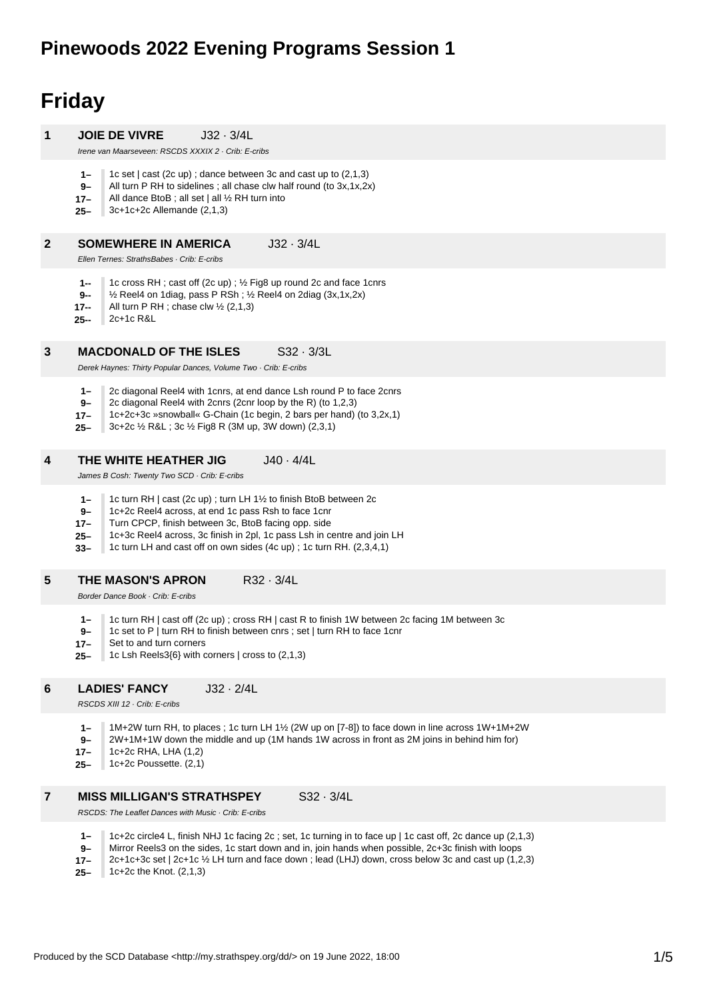## **Pinewoods 2022 Evening Programs Session 1**

# **Friday**

| 1              | <b>JOIE DE VIVRE</b><br>$J32 \cdot 3/4L$<br>Irene van Maarseveen: RSCDS XXXIX 2 · Crib: E-cribs                                                                                                                                                                                                                                                                               |
|----------------|-------------------------------------------------------------------------------------------------------------------------------------------------------------------------------------------------------------------------------------------------------------------------------------------------------------------------------------------------------------------------------|
|                | $1-$<br>1c set $ $ cast $(2c \text{ up})$ ; dance between 3c and cast up to $(2,1,3)$<br>9-<br>All turn P RH to sidelines; all chase clw half round (to $3x, 1x, 2x$ )<br>All dance BtoB; all set   all 1/2 RH turn into<br>$17 -$<br>$3c+1c+2c$ Allemande $(2,1,3)$<br>$25 -$                                                                                                |
| $\mathbf{2}$   | $J32 \cdot 3/4L$<br><b>SOMEWHERE IN AMERICA</b><br>Ellen Ternes: StrathsBabes · Crib: E-cribs                                                                                                                                                                                                                                                                                 |
|                | 1c cross RH; cast off (2c up); 1/2 Fig8 up round 2c and face 1 cnrs<br>1--<br>1/2 Reel4 on 1 diag, pass P RSh; 1/2 Reel4 on 2 diag (3x, 1x, 2x)<br>9--<br>All turn P RH ; chase clw $\frac{1}{2}$ (2,1,3)<br>17--<br>2c+1c R&L<br>25--                                                                                                                                        |
| $\mathbf{3}$   | $S32 \cdot 3/3L$<br><b>MACDONALD OF THE ISLES</b><br>Derek Haynes: Thirty Popular Dances, Volume Two · Crib: E-cribs                                                                                                                                                                                                                                                          |
|                | 2c diagonal Reel4 with 1 cnrs, at end dance Lsh round P to face 2 cnrs<br>$1-$<br>$9-$<br>2c diagonal Reel4 with 2cnrs (2cnr loop by the R) (to 1,2,3)<br>1c+2c+3c »snowball« G-Chain (1c begin, 2 bars per hand) (to 3,2x,1)<br>$17 -$<br>3c+2c 1/2 R&L 3c 1/2 Fig8 R (3M up, 3W down) (2,3,1)<br>$25 -$                                                                     |
| 4              | $J40 \cdot 4/4L$<br>THE WHITE HEATHER JIG<br>James B Cosh: Twenty Two SCD · Crib: E-cribs                                                                                                                                                                                                                                                                                     |
|                | 1c turn RH   cast (2c up); turn LH 1½ to finish BtoB between 2c<br>$1-$<br>$9-$<br>1c+2c Reel4 across, at end 1c pass Rsh to face 1cnr<br>Turn CPCP, finish between 3c, BtoB facing opp. side<br>$17 -$<br>1c+3c Reel4 across, 3c finish in 2pl, 1c pass Lsh in centre and join LH<br>$25 -$<br>1c turn LH and cast off on own sides (4c up); 1c turn RH. (2,3,4,1)<br>$33 -$ |
| 5              | $R32 \cdot 3/4L$<br><b>THE MASON'S APRON</b><br>Border Dance Book · Crib: E-cribs                                                                                                                                                                                                                                                                                             |
|                | 1c turn RH   cast off (2c up) ; cross RH   cast R to finish 1W between 2c facing 1M between 3c<br>$1-$<br>1c set to P   turn RH to finish between cnrs; set   turn RH to face 1 cnr<br>9-<br>Set to and turn corners<br>$17 -$<br>1c Lsh Reels3{6} with corners   cross to (2,1,3)<br>$25 -$                                                                                  |
| 6              | $J32 \cdot 2/4L$<br><b>LADIES' FANCY</b><br>RSCDS XIII 12 · Crib: E-cribs                                                                                                                                                                                                                                                                                                     |
|                | $1-$<br>1M+2W turn RH, to places; 1c turn LH 1½ (2W up on [7-8]) to face down in line across 1W+1M+2W<br>2W+1M+1W down the middle and up (1M hands 1W across in front as 2M joins in behind him for)<br>$9-$<br>1c+2c RHA, LHA (1,2)<br>$17 -$<br>1c+2c Poussette. (2,1)<br>$25 -$                                                                                            |
| $\overline{7}$ | $S32 \cdot 3/4L$<br><b>MISS MILLIGAN'S STRATHSPEY</b><br>RSCDS: The Leaflet Dances with Music · Crib: E-cribs                                                                                                                                                                                                                                                                 |
|                |                                                                                                                                                                                                                                                                                                                                                                               |

- **1–** 1c+2c circle4 L, finish NHJ 1c facing 2c ; set, 1c turning in to face up | 1c cast off, 2c dance up (2,1,3)
- **9–** Mirror Reels3 on the sides, 1c start down and in, join hands when possible, 2c+3c finish with loops
- **17–** 2c+1c+3c set | 2c+1c ½ LH turn and face down ; lead (LHJ) down, cross below 3c and cast up (1,2,3)
- **25–** 1c+2c the Knot. (2,1,3)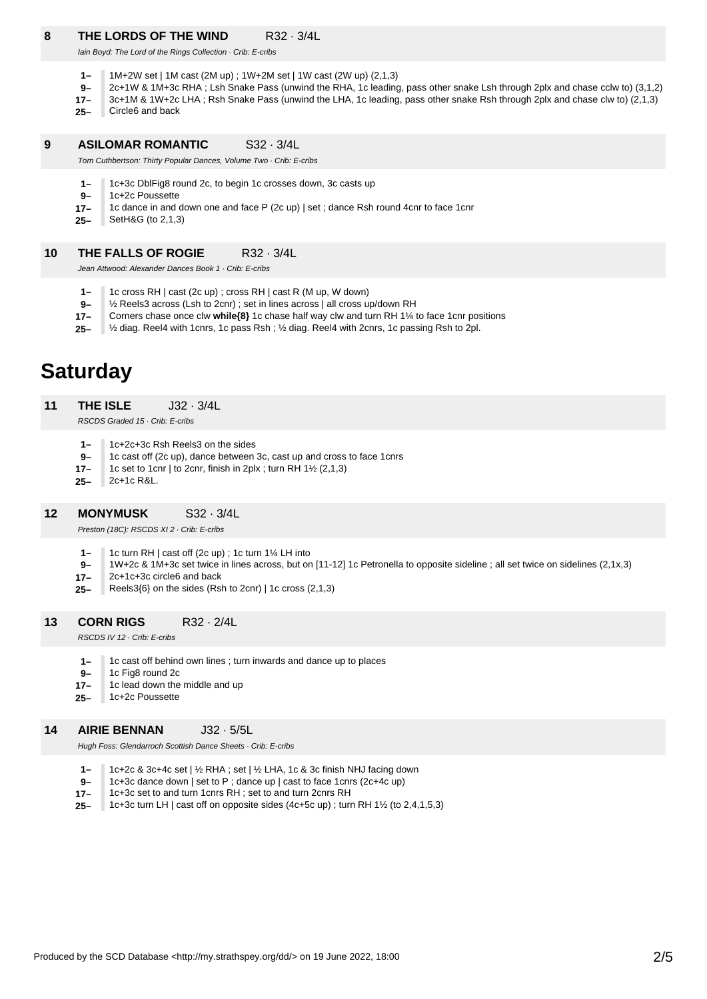### **8 THE LORDS OF THE WIND** R32 · 3/4L

Iain Boyd: The Lord of the Rings Collection · Crib: E-cribs

- **1–** 1M+2W set | 1M cast (2M up) ; 1W+2M set | 1W cast (2W up) (2,1,3)
- **9–** 2c+1W & 1M+3c RHA ; Lsh Snake Pass (unwind the RHA, 1c leading, pass other snake Lsh through 2plx and chase cclw to) (3,1,2)
- **17–** 3c+1M & 1W+2c LHA ; Rsh Snake Pass (unwind the LHA, 1c leading, pass other snake Rsh through 2plx and chase clw to) (2,1,3)
- **25–** Circle6 and back

#### **9 ASILOMAR ROMANTIC** S32 · 3/4L

Tom Cuthbertson: Thirty Popular Dances, Volume Two · Crib: E-cribs

- **1–** 1c+3c DblFig8 round 2c, to begin 1c crosses down, 3c casts up
- **9–** 1c+2c Poussette
- **17–** 1c dance in and down one and face P (2c up) | set ; dance Rsh round 4cnr to face 1cnr
- **25–** SetH&G (to 2,1,3)

### **10 THE FALLS OF ROGIE** R32 · 3/4L

Jean Attwood: Alexander Dances Book 1 · Crib: E-cribs

- **1–** 1c cross RH | cast (2c up) ; cross RH | cast R (M up, W down)
- **9–** ½ Reels3 across (Lsh to 2cnr) ; set in lines across | all cross up/down RH
- **17–** Corners chase once clw **while{8}** 1c chase half way clw and turn RH 1¼ to face 1cnr positions
- **25–** ½ diag. Reel4 with 1cnrs, 1c pass Rsh ; ½ diag. Reel4 with 2cnrs, 1c passing Rsh to 2pl.

# **Saturday**

**11 THE ISLE** J32 · 3/4L

RSCDS Graded 15 · Crib: E-cribs

- **1–** 1c+2c+3c Rsh Reels3 on the sides
- **9–** 1c cast off (2c up), dance between 3c, cast up and cross to face 1cnrs
- **17–** 1c set to 1cnr | to 2cnr, finish in 2plx ; turn RH  $1\frac{1}{2}$  (2,1,3)
- **25–** 2c+1c R&L.

### **12 MONYMUSK** S32 · 3/4L

Preston (18C): RSCDS XI 2 · Crib: E-cribs

- **1–** 1c turn RH | cast off (2c up) ; 1c turn 1¼ LH into
- **9–** 1W+2c & 1M+3c set twice in lines across, but on [11-12] 1c Petronella to opposite sideline ; all set twice on sidelines (2,1x,3)
- **17–** 2c+1c+3c circle6 and back
- **25–** Reels3{6} on the sides (Rsh to 2cnr) | 1c cross (2,1,3)

#### **13 CORN RIGS** R32 · 2/4L

RSCDS IV 12 · Crib: E-cribs

- **1–** 1c cast off behind own lines ; turn inwards and dance up to places
- **9–** 1c Fig8 round 2c

**25–**

**17–** 1c lead down the middle and up 1c+2c Poussette

## **14**

## **AIRIE BENNAN** J32 · 5/5L

Hugh Foss: Glendarroch Scottish Dance Sheets · Crib: E-cribs

- **1–** 1c+2c & 3c+4c set | ½ RHA ; set | ½ LHA, 1c & 3c finish NHJ facing down
- **9–** 1c+3c dance down | set to P ; dance up | cast to face 1cnrs (2c+4c up)
- **17–** 1c+3c set to and turn 1cnrs RH ; set to and turn 2cnrs RH
- **25–** 1c+3c turn LH | cast off on opposite sides (4c+5c up) ; turn RH 1½ (to 2,4,1,5,3)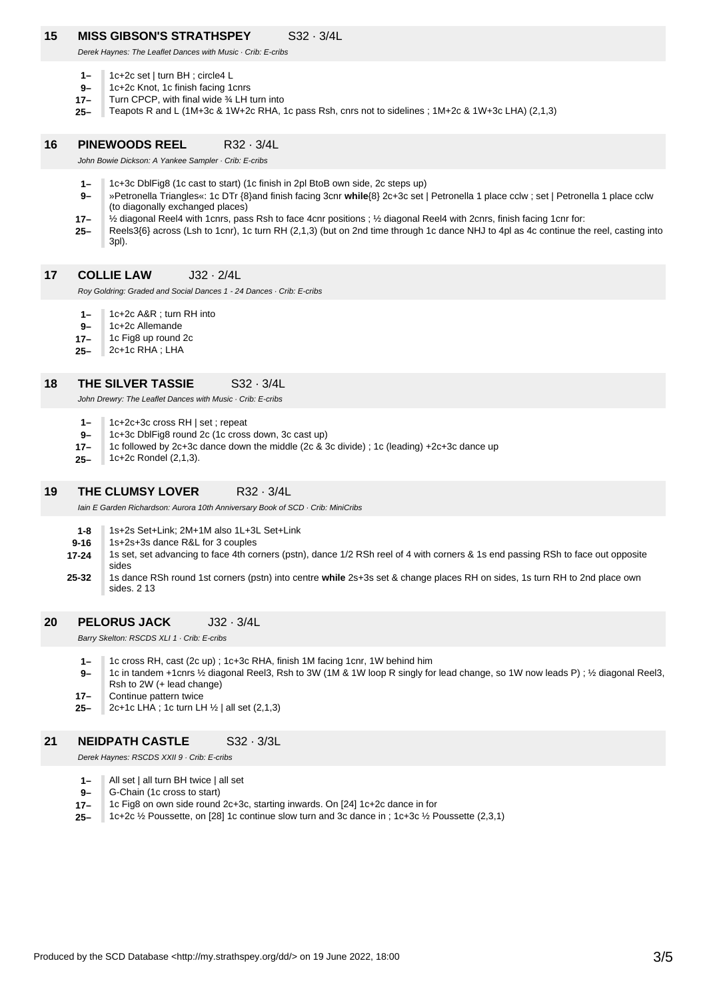### **15 MISS GIBSON'S STRATHSPEY** S32 · 3/4L

Derek Haynes: The Leaflet Dances with Music · Crib: E-cribs

- **1–** 1c+2c set | turn BH ; circle4 L
- **9–** 1c+2c Knot, 1c finish facing 1cnrs
- **17–** Turn CPCP, with final wide ¾ LH turn into
- **25–** Teapots R and L (1M+3c & 1W+2c RHA, 1c pass Rsh, cnrs not to sidelines ; 1M+2c & 1W+3c LHA) (2,1,3)

### **16 PINEWOODS REEL** R32 · 3/4L

John Bowie Dickson: A Yankee Sampler · Crib: E-cribs

- **1–** 1c+3c DblFig8 (1c cast to start) (1c finish in 2pl BtoB own side, 2c steps up)
- **9–** »Petronella Triangles«: 1c DTr {8}and finish facing 3cnr **while**{8} 2c+3c set | Petronella 1 place cclw ; set | Petronella 1 place cclw (to diagonally exchanged places)
- **17–** ½ diagonal Reel4 with 1cnrs, pass Rsh to face 4cnr positions ; ½ diagonal Reel4 with 2cnrs, finish facing 1cnr for:
- **25–** Reels3{6} across (Lsh to 1cnr), 1c turn RH (2,1,3) (but on 2nd time through 1c dance NHJ to 4pl as 4c continue the reel, casting into 3pl).
- **17 COLLIE LAW** J32 · 2/4L

Roy Goldring: Graded and Social Dances 1 - 24 Dances · Crib: E-cribs

- **1–** 1c+2c A&R ; turn RH into
- **9–** 1c+2c Allemande
- **17–** 1c Fig8 up round 2c
- **25–** 2c+1c RHA ; LHA

#### **18 THE SILVER TASSIE** S32 · 3/4L

John Drewry: The Leaflet Dances with Music · Crib: E-cribs

- **1–** 1c+2c+3c cross RH | set ; repeat
- **9–** 1c+3c DblFig8 round 2c (1c cross down, 3c cast up)
- **17–** 1c followed by 2c+3c dance down the middle (2c & 3c divide) ; 1c (leading) +2c+3c dance up
- **25–** 1c+2c Rondel (2,1,3).

### **19 THE CLUMSY LOVER** R32 · 3/4L

Iain E Garden Richardson: Aurora 10th Anniversary Book of SCD · Crib: MiniCribs

- **1-8** 1s+2s Set+Link; 2M+1M also 1L+3L Set+Link
- **9-16** 1s+2s+3s dance R&L for 3 couples
- **17-24** 1s set, set advancing to face 4th corners (pstn), dance 1/2 RSh reel of 4 with corners & 1s end passing RSh to face out opposite sides
- **25-32** 1s dance RSh round 1st corners (pstn) into centre **while** 2s+3s set & change places RH on sides, 1s turn RH to 2nd place own sides. 2 13

### **20 PELORUS JACK** J32 · 3/4L

Barry Skelton: RSCDS XLI 1 · Crib: E-cribs

- **1–** 1c cross RH, cast (2c up) ; 1c+3c RHA, finish 1M facing 1cnr, 1W behind him
- **9–** 1c in tandem +1cnrs ½ diagonal Reel3, Rsh to 3W (1M & 1W loop R singly for lead change, so 1W now leads P) ; ½ diagonal Reel3, Rsh to 2W (+ lead change)
- **17–** Continue pattern twice

**25–** 2c+1c LHA ; 1c turn LH ½ | all set (2,1,3)

### **21 NEIDPATH CASTLE** S32 · 3/3L

Derek Haynes: RSCDS XXII 9 · Crib: E-cribs

- **1–** All set | all turn BH twice | all set
- **9–** G-Chain (1c cross to start)
- **17–** 1c Fig8 on own side round 2c+3c, starting inwards. On [24] 1c+2c dance in for
- **25–** 1c+2c ½ Poussette, on [28] 1c continue slow turn and 3c dance in ; 1c+3c ½ Poussette (2,3,1)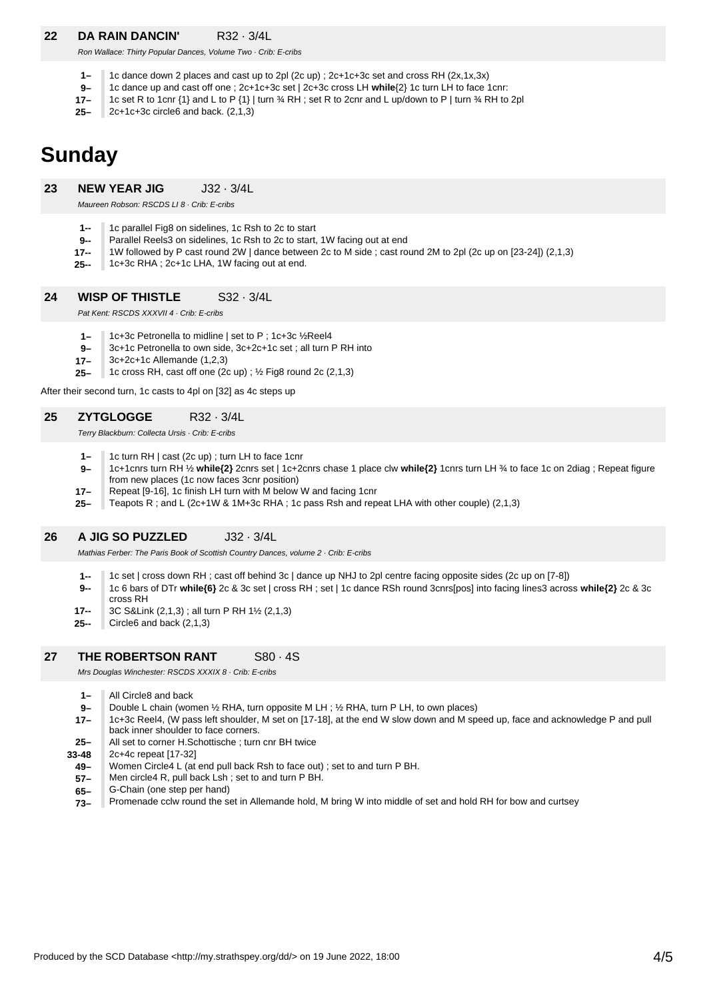### **22 DA RAIN DANCIN'** R32 · 3/4L

Ron Wallace: Thirty Popular Dances, Volume Two · Crib: E-cribs

- **1–** 1c dance down 2 places and cast up to 2pl (2c up) ; 2c+1c+3c set and cross RH (2x,1x,3x)
- **9–** 1c dance up and cast off one ; 2c+1c+3c set | 2c+3c cross LH **while**{2} 1c turn LH to face 1cnr:
- **17–** 1c set R to 1cnr {1} and L to P {1} | turn ¾ RH ; set R to 2cnr and L up/down to P | turn ¾ RH to 2pl
- **25–** 2c+1c+3c circle6 and back. (2,1,3)

## **Sunday**

### **23 NEW YEAR JIG** J32 · 3/4L

Maureen Robson: RSCDS LI 8 · Crib: E-cribs

- **1--**
- **9--** 1c parallel Fig8 on sidelines, 1c Rsh to 2c to start Parallel Reels3 on sidelines, 1c Rsh to 2c to start, 1W facing out at end
- **17--** 1W followed by P cast round 2W | dance between 2c to M side ; cast round 2M to 2pl (2c up on [23-24]) (2,1,3)
- **25--** 1c+3c RHA ; 2c+1c LHA, 1W facing out at end.

### **24 WISP OF THISTLE** S32 · 3/4L

Pat Kent: RSCDS XXXVII 4 · Crib: E-cribs

- **1–** 1c+3c Petronella to midline | set to P ; 1c+3c ½Reel4
- **9–** 3c+1c Petronella to own side, 3c+2c+1c set ; all turn P RH into
- **17–** 3c+2c+1c Allemande (1,2,3)
- **25–** 1c cross RH, cast off one (2c up) ; ½ Fig8 round 2c (2,1,3)

After their second turn, 1c casts to 4pl on [32] as 4c steps up

### **25 ZYTGLOGGE** R32 · 3/4L

Terry Blackburn: Collecta Ursis · Crib: E-cribs

- **1–** 1c turn RH | cast (2c up) ; turn LH to face 1cnr
- **9–** 1c+1cnrs turn RH ½ **while{2}** 2cnrs set | 1c+2cnrs chase 1 place clw **while{2}** 1cnrs turn LH ¾ to face 1c on 2diag ; Repeat figure from new places (1c now faces 3cnr position)
- **17–** Repeat [9-16], 1c finish LH turn with M below W and facing 1cnr
- **25–** Teapots R ; and L (2c+1W & 1M+3c RHA ; 1c pass Rsh and repeat LHA with other couple) (2,1,3)

### **26 A JIG SO PUZZLED** J32 · 3/4L

Mathias Ferber: The Paris Book of Scottish Country Dances, volume 2 · Crib: E-cribs

- **1--** 1c set | cross down RH ; cast off behind 3c | dance up NHJ to 2pl centre facing opposite sides (2c up on [7-8])
- **9--** 1c 6 bars of DTr **while{6}** 2c & 3c set | cross RH ; set | 1c dance RSh round 3cnrs[pos] into facing lines3 across **while{2}** 2c & 3c cross RH
- **17--** 3C S&Link (2,1,3) ; all turn P RH 1½ (2,1,3)
- **25--** Circle6 and back (2,1,3)

### **27 THE ROBERTSON RANT** S80 · 4S

Mrs Douglas Winchester: RSCDS XXXIX 8 · Crib: E-cribs

- **1–** All Circle8 and back
- **9–** Double L chain (women ½ RHA, turn opposite M LH ; ½ RHA, turn P LH, to own places)
- **17–** 1c+3c Reel4, (W pass left shoulder, M set on [17-18], at the end W slow down and M speed up, face and acknowledge P and pull back inner shoulder to face corners.
- **25–** All set to corner H.Schottische ; turn cnr BH twice
- **33-48** 2c+4c repeat [17-32]
	- **49–** Women Circle4 L (at end pull back Rsh to face out) ; set to and turn P BH.
	- **57–** Men circle4 R, pull back Lsh ; set to and turn P BH.
	- **65–** G-Chain (one step per hand)
	- **73–** Promenade cclw round the set in Allemande hold, M bring W into middle of set and hold RH for bow and curtsey